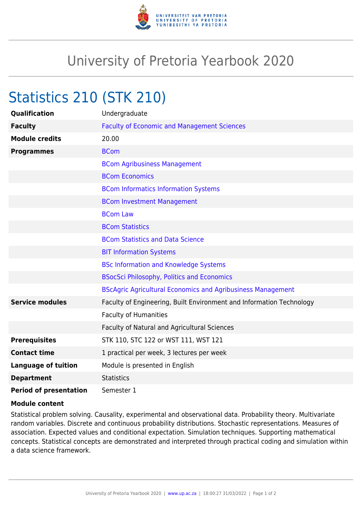

## University of Pretoria Yearbook 2020

## Statistics 210 (STK 210)

| <b>Qualification</b>          | Undergraduate                                                        |
|-------------------------------|----------------------------------------------------------------------|
| <b>Faculty</b>                | <b>Faculty of Economic and Management Sciences</b>                   |
| <b>Module credits</b>         | 20.00                                                                |
| <b>Programmes</b>             | <b>BCom</b>                                                          |
|                               | <b>BCom Agribusiness Management</b>                                  |
|                               | <b>BCom Economics</b>                                                |
|                               | <b>BCom Informatics Information Systems</b>                          |
|                               | <b>BCom Investment Management</b>                                    |
|                               | <b>BCom Law</b>                                                      |
|                               | <b>BCom Statistics</b>                                               |
|                               | <b>BCom Statistics and Data Science</b>                              |
|                               | <b>BIT Information Systems</b>                                       |
|                               | <b>BSc Information and Knowledge Systems</b>                         |
|                               | <b>BSocSci Philosophy, Politics and Economics</b>                    |
|                               | <b>BScAgric Agricultural Economics and Agribusiness Management</b>   |
| <b>Service modules</b>        | Faculty of Engineering, Built Environment and Information Technology |
|                               | <b>Faculty of Humanities</b>                                         |
|                               | Faculty of Natural and Agricultural Sciences                         |
| <b>Prerequisites</b>          | STK 110, STC 122 or WST 111, WST 121                                 |
| <b>Contact time</b>           | 1 practical per week, 3 lectures per week                            |
| <b>Language of tuition</b>    | Module is presented in English                                       |
| <b>Department</b>             | <b>Statistics</b>                                                    |
| <b>Period of presentation</b> | Semester 1                                                           |

## **Module content**

Statistical problem solving. Causality, experimental and observational data. Probability theory. Multivariate random variables. Discrete and continuous probability distributions. Stochastic representations. Measures of association. Expected values and conditional expectation. Simulation techniques. Supporting mathematical concepts. Statistical concepts are demonstrated and interpreted through practical coding and simulation within a data science framework.